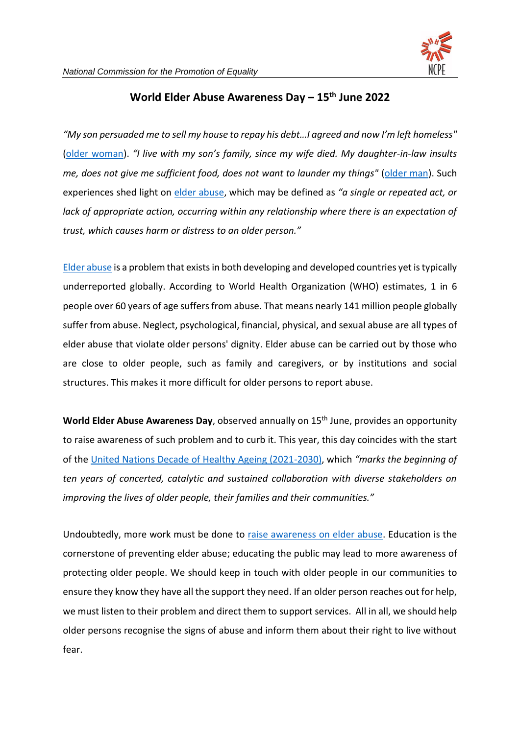

## **World Elder Abuse Awareness Day – 15th June 2022**

*"My son persuaded me to sell my house to repay his debt…I agreed and now I'm left homeless"*  [\(older woman\)](https://www.helpage.org/what-we-do/elder-abuse/). *"I live with my son's family, since my wife died. My daughter-in-law insults me, does not give me sufficient food, does not want to launder my things"* [\(older man\)](https://www.helpage.org/what-we-do/elder-abuse/). Such experiences shed light on [elder abuse,](https://www.who.int/news-room/fact-sheets/detail/abuse-of-older-people) which may be defined as *"a single or repeated act, or lack of appropriate action, occurring within any relationship where there is an expectation of trust, which causes harm or distress to an older person."*

[Elder abuse](https://www.un.org/en/observances/elder-abuse-awareness-day) is a problem that exists in both developing and developed countries yet is typically underreported globally. According to World Health Organization (WHO) estimates, 1 in 6 people over 60 years of age suffers from abuse. That means nearly 141 million people globally suffer from abuse. Neglect, psychological, financial, physical, and sexual abuse are all types of elder abuse that violate older persons' dignity. Elder abuse can be carried out by those who are close to older people, such as family and caregivers, or by institutions and social structures. This makes it more difficult for older persons to report abuse.

World Elder Abuse Awareness Day, observed annually on 15<sup>th</sup> June, provides an opportunity to raise awareness of such problem and to curb it. This year, this day coincides with the start of the [United Nations Decade of Healthy Ageing \(2021-2030\),](https://www.un.org/development/desa/ageing/uncategorized/2022/05/weaad-2022-combatting-elder-abuse-whats-next-five-priorities-for-the-decade/) which *"marks the beginning of ten years of concerted, catalytic and sustained collaboration with diverse stakeholders on improving the lives of older people, their families and their communities."*

Undoubtedly, more work must be done to [raise awareness on elder abuse.](https://www.helpage.org/what-we-do/elder-abuse/) Education is the cornerstone of preventing elder abuse; educating the public may lead to more awareness of protecting older people. We should keep in touch with older people in our communities to ensure they know they have all the support they need. If an older person reaches out for help, we must listen to their problem and direct them to support services. All in all, we should help older persons recognise the signs of abuse and inform them about their right to live without fear.